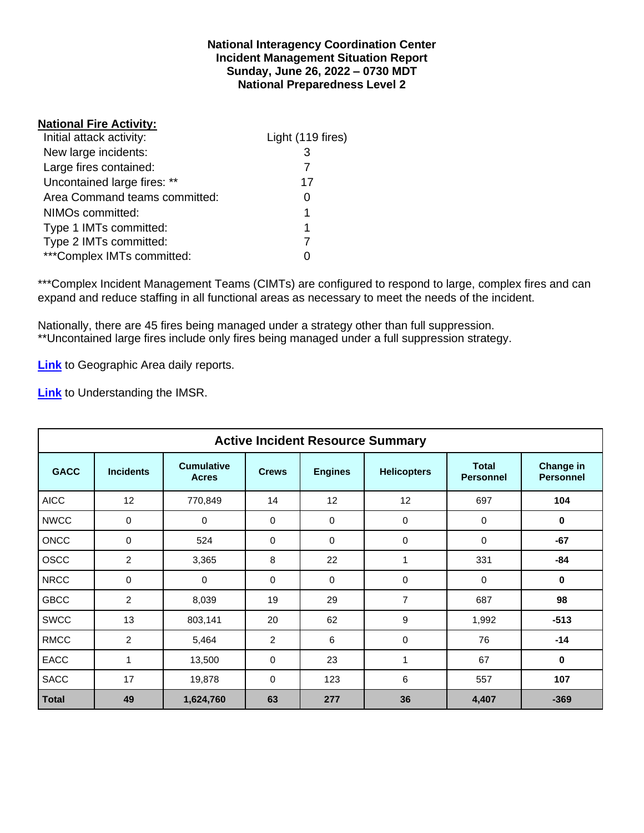### **National Interagency Coordination Center Incident Management Situation Report Sunday, June 26, 2022 – 0730 MDT National Preparedness Level 2**

### **National Fire Activity:**

| Initial attack activity:      | Light (119 fires) |
|-------------------------------|-------------------|
| New large incidents:          | 3                 |
| Large fires contained:        |                   |
| Uncontained large fires: **   | 17                |
| Area Command teams committed: |                   |
| NIMOs committed:              | 1                 |
| Type 1 IMTs committed:        | 1                 |
| Type 2 IMTs committed:        |                   |
| ***Complex IMTs committed:    |                   |

\*\*\*Complex Incident Management Teams (CIMTs) are configured to respond to large, complex fires and can expand and reduce staffing in all functional areas as necessary to meet the needs of the incident.

Nationally, there are 45 fires being managed under a strategy other than full suppression. \*\*Uncontained large fires include only fires being managed under a full suppression strategy.

**[Link](http://www.nifc.gov/nicc/predictive/statelinks.htm)** to Geographic Area daily reports.

**[Link](https://www.predictiveservices.nifc.gov/intelligence/Understanding%20the%20IMSR%202019.pdf)** to Understanding the IMSR.

|              |                         |                                   |              | <b>Active Incident Resource Summary</b> |                    |                                  |                               |
|--------------|-------------------------|-----------------------------------|--------------|-----------------------------------------|--------------------|----------------------------------|-------------------------------|
| <b>GACC</b>  | <b>Incidents</b>        | <b>Cumulative</b><br><b>Acres</b> | <b>Crews</b> | <b>Engines</b>                          | <b>Helicopters</b> | <b>Total</b><br><b>Personnel</b> | Change in<br><b>Personnel</b> |
| <b>AICC</b>  | 12                      | 770,849                           | 14           | 12                                      | 12                 | 697                              | 104                           |
| <b>NWCC</b>  | 0                       | 0                                 | 0            | $\Omega$                                | 0                  | $\Omega$                         | $\bf{0}$                      |
| <b>ONCC</b>  | 0                       | 524                               | 0            | $\Omega$                                | $\mathbf 0$        | $\Omega$                         | $-67$                         |
| <b>OSCC</b>  | $\overline{2}$          | 3,365                             | 8            | 22                                      | 1                  | 331                              | -84                           |
| <b>NRCC</b>  | 0                       | 0                                 | 0            | $\mathbf 0$                             | 0                  | 0                                | $\mathbf 0$                   |
| <b>GBCC</b>  | $\overline{\mathbf{c}}$ | 8,039                             | 19           | 29                                      | 7                  | 687                              | 98                            |
| <b>SWCC</b>  | 13                      | 803,141                           | 20           | 62                                      | 9                  | 1,992                            | $-513$                        |
| <b>RMCC</b>  | 2                       | 5,464                             | 2            | 6                                       | 0                  | 76                               | $-14$                         |
| EACC         | 1                       | 13,500                            | 0            | 23                                      | 1                  | 67                               | $\mathbf 0$                   |
| <b>SACC</b>  | 17                      | 19,878                            | 0            | 123                                     | 6                  | 557                              | 107                           |
| <b>Total</b> | 49                      | 1,624,760                         | 63           | 277                                     | 36                 | 4,407                            | $-369$                        |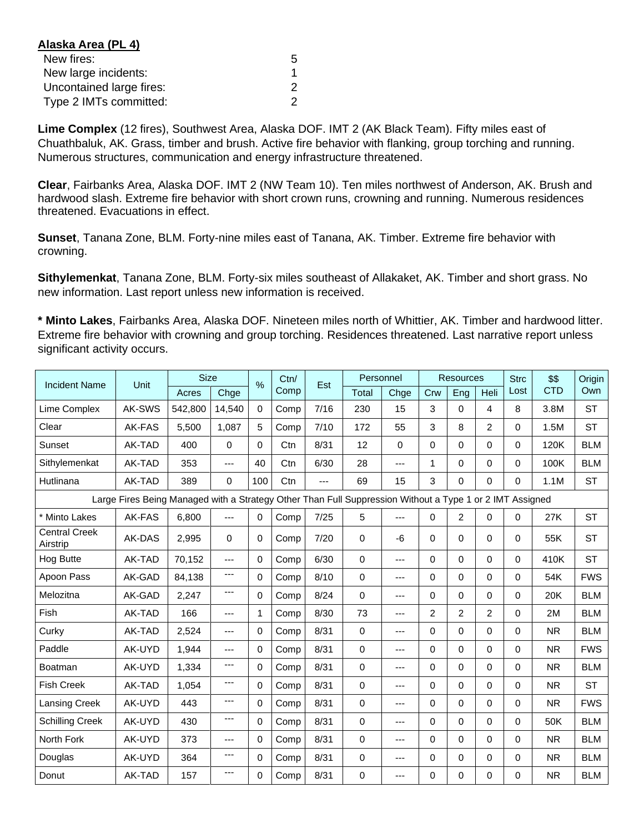| Alaska Area (PL 4)       |   |
|--------------------------|---|
| New fires:               | 5 |
| New large incidents:     |   |
| Uncontained large fires: | 2 |
| Type 2 IMTs committed:   | 2 |

**Lime Complex** (12 fires), Southwest Area, Alaska DOF. IMT 2 (AK Black Team). Fifty miles east of Chuathbaluk, AK. Grass, timber and brush. Active fire behavior with flanking, group torching and running. Numerous structures, communication and energy infrastructure threatened.

**Clear**, Fairbanks Area, Alaska DOF. IMT 2 (NW Team 10). Ten miles northwest of Anderson, AK. Brush and hardwood slash. Extreme fire behavior with short crown runs, crowning and running. Numerous residences threatened. Evacuations in effect.

**Sunset**, Tanana Zone, BLM. Forty-nine miles east of Tanana, AK. Timber. Extreme fire behavior with crowning.

**Sithylemenkat**, Tanana Zone, BLM. Forty-six miles southeast of Allakaket, AK. Timber and short grass. No new information. Last report unless new information is received.

**\* Minto Lakes**, Fairbanks Area, Alaska DOF. Nineteen miles north of Whittier, AK. Timber and hardwood litter. Extreme fire behavior with crowning and group torching. Residences threatened. Last narrative report unless significant activity occurs.

| <b>Incident Name</b>             | Unit                                                                                                     | <b>Size</b> |                | $\frac{0}{0}$ | Ctn/ | Est  |             | Personnel   |                | <b>Resources</b> |                |          | \$\$       | Origin     |
|----------------------------------|----------------------------------------------------------------------------------------------------------|-------------|----------------|---------------|------|------|-------------|-------------|----------------|------------------|----------------|----------|------------|------------|
|                                  |                                                                                                          | Acres       | Chge           |               | Comp |      | Total       | Chge        | Crw            | <b>Eng</b>       | Heli           | Lost     | <b>CTD</b> | Own        |
| Lime Complex                     | AK-SWS                                                                                                   | 542,800     | 14,540         | $\Omega$      | Comp | 7/16 | 230         | 15          | 3              | $\Omega$         | 4              | 8        | 3.8M       | <b>ST</b>  |
| Clear                            | AK-FAS                                                                                                   | 5.500       | 1.087          | 5             | Comp | 7/10 | 172         | 55          | 3              | 8                | $\overline{2}$ | $\Omega$ | 1.5M       | <b>ST</b>  |
| Sunset                           | AK-TAD                                                                                                   | 400         | $\mathbf 0$    | $\Omega$      | Ctn  | 8/31 | 12          | $\mathbf 0$ | $\Omega$       | $\Omega$         | $\Omega$       | $\Omega$ | 120K       | <b>BLM</b> |
| Sithylemenkat                    | AK-TAD                                                                                                   | 353         | $---$          | 40            | Ctn  | 6/30 | 28          | $---$       | 1              | $\Omega$         | $\Omega$       | $\Omega$ | 100K       | <b>BLM</b> |
| Hutlinana                        | AK-TAD                                                                                                   | 389         | 0              | 100           | Ctn  | ---  | 69          | 15          | 3              | $\Omega$         | 0              | $\Omega$ | 1.1M       | <b>ST</b>  |
|                                  | Large Fires Being Managed with a Strategy Other Than Full Suppression Without a Type 1 or 2 IMT Assigned |             |                |               |      |      |             |             |                |                  |                |          |            |            |
| * Minto Lakes                    | AK-FAS                                                                                                   | 6.800       | ---            | $\Omega$      | Comp | 7/25 | 5           | $---$       | $\Omega$       | $\overline{c}$   | 0              | $\Omega$ | 27K        | <b>ST</b>  |
| <b>Central Creek</b><br>Airstrip | AK-DAS                                                                                                   | 2,995       | $\Omega$       | 0             | Comp | 7/20 | $\Omega$    | $-6$        | $\Omega$       | $\Omega$         | $\Omega$       | $\Omega$ | 55K        | <b>ST</b>  |
| Hog Butte                        | AK-TAD                                                                                                   | 70,152      | $---$          | $\Omega$      | Comp | 6/30 | $\Omega$    | $---$       | $\Omega$       | $\Omega$         | $\Omega$       | $\Omega$ | 410K       | <b>ST</b>  |
| Apoon Pass                       | AK-GAD                                                                                                   | 84,138      | ---            | $\Omega$      | Comp | 8/10 | $\mathbf 0$ | ---         | 0              | $\Omega$         | $\Omega$       | $\Omega$ | 54K        | <b>FWS</b> |
| Melozitna                        | AK-GAD                                                                                                   | 2.247       | ---            | $\Omega$      | Comp | 8/24 | $\Omega$    | ---         | $\Omega$       | $\Omega$         | 0              | $\Omega$ | 20K        | <b>BLM</b> |
| Fish                             | AK-TAD                                                                                                   | 166         | $\overline{a}$ | 1             | Comp | 8/30 | 73          | $---$       | $\overline{2}$ | $\overline{c}$   | $\overline{c}$ | $\Omega$ | 2M         | <b>BLM</b> |
| Curky                            | AK-TAD                                                                                                   | 2,524       | ---            | 0             | Comp | 8/31 | $\Omega$    | $---$       | $\Omega$       | $\Omega$         | $\Omega$       | $\Omega$ | <b>NR</b>  | <b>BLM</b> |
| Paddle                           | AK-UYD                                                                                                   | 1,944       | $---$          | 0             | Comp | 8/31 | $\mathbf 0$ | $---$       | $\Omega$       | $\Omega$         | $\Omega$       | $\Omega$ | <b>NR</b>  | <b>FWS</b> |
| <b>Boatman</b>                   | AK-UYD                                                                                                   | 1,334       | ---            | 0             | Comp | 8/31 | $\mathbf 0$ | ---         | $\Omega$       | $\Omega$         | $\Omega$       | $\Omega$ | <b>NR</b>  | <b>BLM</b> |
| <b>Fish Creek</b>                | AK-TAD                                                                                                   | 1.054       | ---            | $\Omega$      | Comp | 8/31 | $\Omega$    | ---         | 0              | $\Omega$         | $\Omega$       | $\Omega$ | <b>NR</b>  | <b>ST</b>  |
| Lansing Creek                    | AK-UYD                                                                                                   | 443         | ---            | $\Omega$      | Comp | 8/31 | $\mathbf 0$ | $---$       | $\Omega$       | $\Omega$         | $\Omega$       | $\Omega$ | <b>NR</b>  | <b>FWS</b> |
| <b>Schilling Creek</b>           | AK-UYD                                                                                                   | 430         | $---$          | $\Omega$      | Comp | 8/31 | $\mathbf 0$ | ---         | 0              | $\Omega$         | $\Omega$       | $\Omega$ | 50K        | <b>BLM</b> |
| North Fork                       | AK-UYD                                                                                                   | 373         | ---            | 0             | Comp | 8/31 | 0           | $---$       | $\Omega$       | $\Omega$         | $\Omega$       | $\Omega$ | <b>NR</b>  | <b>BLM</b> |
| Douglas                          | AK-UYD                                                                                                   | 364         | ---            | $\Omega$      | Comp | 8/31 | 0           | ---         | 0              | $\Omega$         | $\Omega$       | $\Omega$ | <b>NR</b>  | <b>BLM</b> |
| Donut                            | AK-TAD                                                                                                   | 157         | ---            | 0             | Comp | 8/31 | $\Omega$    | ---         | 0              | 0                | 0              | $\Omega$ | <b>NR</b>  | <b>BLM</b> |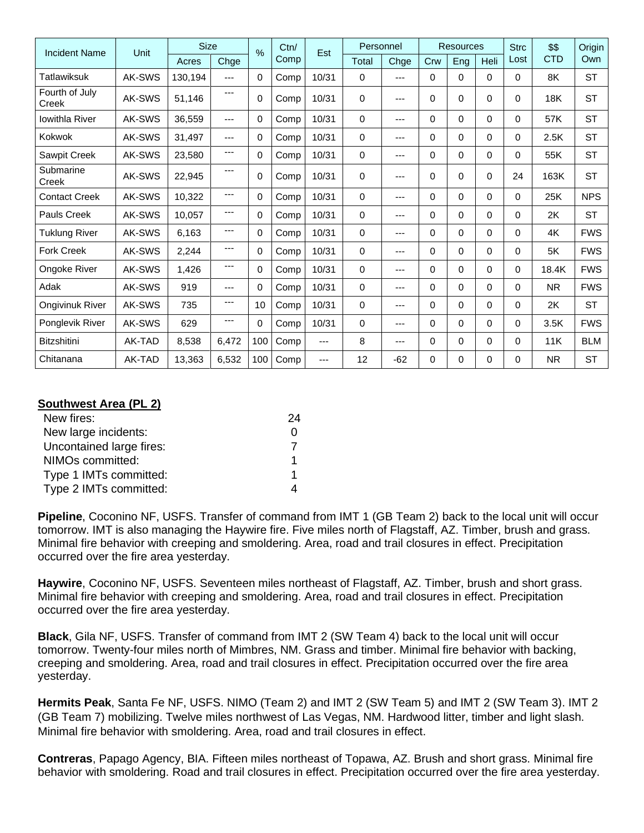| <b>Incident Name</b>    | Unit   | <b>Size</b> |       | $\frac{0}{0}$ | Ctn/ | Est   | Personnel |       |          | <b>Resources</b> |          | <b>Strc</b> | \$\$       | Origin     |
|-------------------------|--------|-------------|-------|---------------|------|-------|-----------|-------|----------|------------------|----------|-------------|------------|------------|
|                         |        | Acres       | Chge  |               | Comp |       | Total     | Chge  | Crw      | Eng              | Heli     | Lost        | <b>CTD</b> | Own        |
| Tatlawiksuk             | AK-SWS | 130.194     | $---$ | 0             | Comp | 10/31 | $\Omega$  | ---   | 0        | 0                | 0        | $\Omega$    | 8K         | <b>ST</b>  |
| Fourth of July<br>Creek | AK-SWS | 51,146      | ---   | 0             | Comp | 10/31 | 0         | ---   | 0        | 0                | 0        | $\Omega$    | 18K        | <b>ST</b>  |
| <b>Iowithla River</b>   | AK-SWS | 36,559      | ---   | 0             | Comp | 10/31 | $\Omega$  | ---   | 0        | 0                | 0        | $\Omega$    | 57K        | <b>ST</b>  |
| Kokwok                  | AK-SWS | 31,497      | ---   | 0             | Comp | 10/31 | $\Omega$  | ---   | 0        | 0                | 0        | $\Omega$    | 2.5K       | <b>ST</b>  |
| Sawpit Creek            | AK-SWS | 23,580      | ---   | 0             | Comp | 10/31 | 0         | ---   | 0        | $\Omega$         | 0        | $\Omega$    | 55K        | <b>ST</b>  |
| Submarine<br>Creek      | AK-SWS | 22,945      | ---   | $\Omega$      | Comp | 10/31 | $\Omega$  | ---   | 0        | 0                | $\Omega$ | 24          | 163K       | <b>ST</b>  |
| <b>Contact Creek</b>    | AK-SWS | 10,322      | ---   | $\Omega$      | Comp | 10/31 | 0         | $---$ | $\Omega$ | 0                | $\Omega$ | $\Omega$    | 25K        | <b>NPS</b> |
| <b>Pauls Creek</b>      | AK-SWS | 10,057      | ---   | 0             | Comp | 10/31 | 0         | ---   | 0        | 0                | 0        | $\Omega$    | 2K         | <b>ST</b>  |
| <b>Tuklung River</b>    | AK-SWS | 6,163       | ---   | 0             | Comp | 10/31 | 0         | ---   | 0        | $\mathbf{0}$     | $\Omega$ | $\Omega$    | 4K         | <b>FWS</b> |
| <b>Fork Creek</b>       | AK-SWS | 2,244       | ---   | $\Omega$      | Comp | 10/31 | $\Omega$  | ---   | $\Omega$ | $\mathbf{0}$     | $\Omega$ | $\Omega$    | 5K         | <b>FWS</b> |
| Ongoke River            | AK-SWS | 1,426       | ---   | $\Omega$      | Comp | 10/31 | $\Omega$  | ---   | $\Omega$ | 0                | $\Omega$ | $\Omega$    | 18.4K      | <b>FWS</b> |
| Adak                    | AK-SWS | 919         | ---   | 0             | Comp | 10/31 | 0         | ---   | 0        | $\mathbf{0}$     | $\Omega$ | $\Omega$    | NR.        | <b>FWS</b> |
| <b>Ongivinuk River</b>  | AK-SWS | 735         | ---   | 10            | Comp | 10/31 | 0         | ---   | 0        | $\Omega$         | 0        | $\Omega$    | 2K         | <b>ST</b>  |
| Ponglevik River         | AK-SWS | 629         | ---   | 0             | Comp | 10/31 | $\Omega$  | ---   | $\Omega$ | 0                | 0        | $\Omega$    | 3.5K       | <b>FWS</b> |
| <b>Bitzshitini</b>      | AK-TAD | 8,538       | 6,472 | 100           | Comp | ---   | 8         | ---   | $\Omega$ | 0                | 0        | $\Omega$    | 11K        | <b>BLM</b> |
| Chitanana               | AK-TAD | 13.363      | 6,532 | 100           | Comp | ---   | 12        | $-62$ | $\Omega$ | 0                | 0        | $\Omega$    | <b>NR</b>  | <b>ST</b>  |

## **Southwest Area (PL 2)**

| New fires:               | 24 |
|--------------------------|----|
| New large incidents:     |    |
| Uncontained large fires: |    |
| NIMOs committed:         |    |
| Type 1 IMTs committed:   |    |
| Type 2 IMTs committed:   |    |

**Pipeline**, Coconino NF, USFS. Transfer of command from IMT 1 (GB Team 2) back to the local unit will occur tomorrow. IMT is also managing the Haywire fire. Five miles north of Flagstaff, AZ. Timber, brush and grass. Minimal fire behavior with creeping and smoldering. Area, road and trail closures in effect. Precipitation occurred over the fire area yesterday.

**Haywire**, Coconino NF, USFS. Seventeen miles northeast of Flagstaff, AZ. Timber, brush and short grass. Minimal fire behavior with creeping and smoldering. Area, road and trail closures in effect. Precipitation occurred over the fire area yesterday.

**Black**, Gila NF, USFS. Transfer of command from IMT 2 (SW Team 4) back to the local unit will occur tomorrow. Twenty-four miles north of Mimbres, NM. Grass and timber. Minimal fire behavior with backing, creeping and smoldering. Area, road and trail closures in effect. Precipitation occurred over the fire area yesterday.

**Hermits Peak**, Santa Fe NF, USFS. NIMO (Team 2) and IMT 2 (SW Team 5) and IMT 2 (SW Team 3). IMT 2 (GB Team 7) mobilizing. Twelve miles northwest of Las Vegas, NM. Hardwood litter, timber and light slash. Minimal fire behavior with smoldering. Area, road and trail closures in effect.

**Contreras**, Papago Agency, BIA. Fifteen miles northeast of Topawa, AZ. Brush and short grass. Minimal fire behavior with smoldering. Road and trail closures in effect. Precipitation occurred over the fire area yesterday.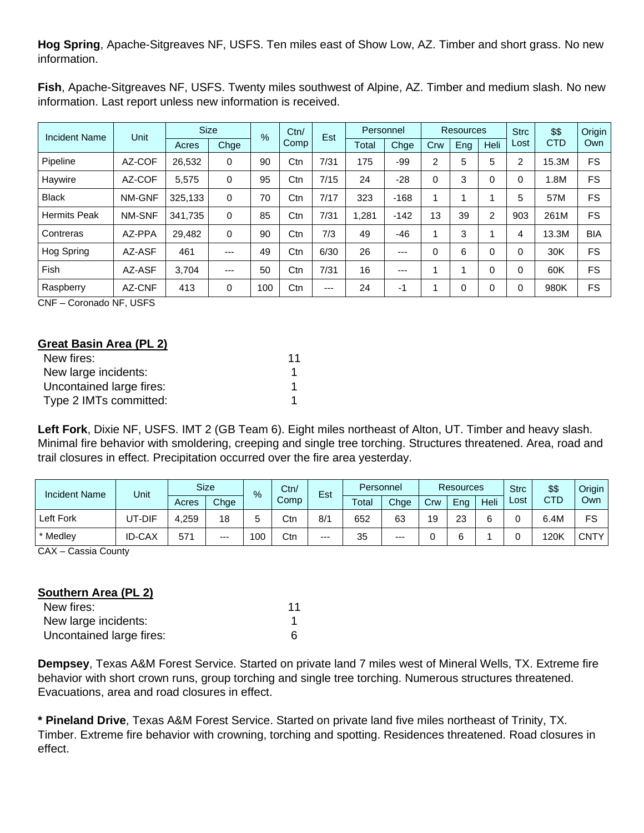**Hog Spring**, Apache-Sitgreaves NF, USFS. Ten miles east of Show Low, AZ. Timber and short grass. No new information.

**Fish**, Apache-Sitgreaves NF, USFS. Twenty miles southwest of Alpine, AZ. Timber and medium slash. No new information. Last report unless new information is received.

| <b>Incident Name</b> | <b>Unit</b>   |         | <b>Size</b> | %   | Ctn/ | Est   |       | Personnel |     | <b>Resources</b> |             | <b>Strc</b> | \$\$       | Origin     |
|----------------------|---------------|---------|-------------|-----|------|-------|-------|-----------|-----|------------------|-------------|-------------|------------|------------|
|                      |               | Acres   | Chge        |     | Comp |       | Total | Chge      | Crw | Eng              | <b>Heli</b> | Lost        | <b>CTD</b> | Own        |
| Pipeline             | AZ-COF        | 26,532  | 0           | 90  | Ctn  | 7/31  | 175   | -99       | 2   | 5                | 5           | ົ           | 15.3M      | <b>FS</b>  |
| Haywire              | AZ-COF        | 5,575   | 0           | 95  | Ctn  | 7/15  | 24    | $-28$     | 0   | 3                | $\Omega$    | 0           | 1.8M       | FS         |
| <b>Black</b>         | NM-GNF        | 325,133 | 0           | 70  | Ctn  | 7/17  | 323   | $-168$    |     |                  |             | 5           | 57M        | FS         |
| <b>Hermits Peak</b>  | <b>NM-SNF</b> | 341,735 | 0           | 85  | Ctn  | 7/31  | 281.ا | $-142$    | 13  | 39               | 2           | 903         | 261M       | FS         |
| Contreras            | AZ-PPA        | 29.482  | 0           | 90  | Ctn  | 7/3   | 49    | $-46$     |     | 3                |             | 4           | 13.3M      | <b>BIA</b> |
| Hog Spring           | AZ-ASF        | 461     | ---         | 49  | Ctn  | 6/30  | 26    | $---$     | 0   | 6                | $\Omega$    | 0           | 30K        | FS         |
| Fish                 | AZ-ASF        | 3.704   | ---         | 50  | Ctn  | 7/31  | 16    | $---$     |     | и                | $\Omega$    |             | 60K        | FS         |
| Raspberry            | AZ-CNF        | 413     | 0           | 100 | Ctn  | $---$ | 24    | -1        |     | 0                | $\Omega$    |             | 980K       | FS         |

CNF – Coronado NF, USFS

| Great Basin Area (PL 2)  |    |
|--------------------------|----|
| New fires:               | 11 |
| New large incidents:     |    |
| Uncontained large fires: |    |
| Type 2 IMTs committed:   |    |

**Left Fork**, Dixie NF, USFS. IMT 2 (GB Team 6). Eight miles northeast of Alton, UT. Timber and heavy slash. Minimal fire behavior with smoldering, creeping and single tree torching. Structures threatened. Area, road and trail closures in effect. Precipitation occurred over the fire area yesterday.

| <b>Incident Name</b> | Unit          |           | <b>Size</b> | $\%$ | Ctn/ | Est  | Personnel |       | <b>Resources</b> |     |      | <b>Strc</b> | \$\$ | Origin      |
|----------------------|---------------|-----------|-------------|------|------|------|-----------|-------|------------------|-----|------|-------------|------|-------------|
|                      |               | Acres     | Chge        |      | Comp |      | Total     | Chge  | Crw              | Eng | Heli | Lost        | CTD  | Own         |
| Left Fork            | UT-DIF        | .259<br>4 | 18          |      | Ctn  | 8/1  | 652       | 63    | 19               | 23  |      |             | ہ.4M | FS          |
| * Medley             | <b>ID-CAX</b> | 571       | $---$       | 100  | Ctn  | $--$ | 35        | $---$ |                  |     |      |             | 120K | <b>CNTY</b> |

CAX – Cassia County

| Southern Area (PL 2)     |    |
|--------------------------|----|
| New fires:               | 11 |
| New large incidents:     |    |
| Uncontained large fires: |    |

**Dempsey**, Texas A&M Forest Service. Started on private land 7 miles west of Mineral Wells, TX. Extreme fire behavior with short crown runs, group torching and single tree torching. Numerous structures threatened. Evacuations, area and road closures in effect.

**\* Pineland Drive**, Texas A&M Forest Service. Started on private land five miles northeast of Trinity, TX. Timber. Extreme fire behavior with crowning, torching and spotting. Residences threatened. Road closures in effect.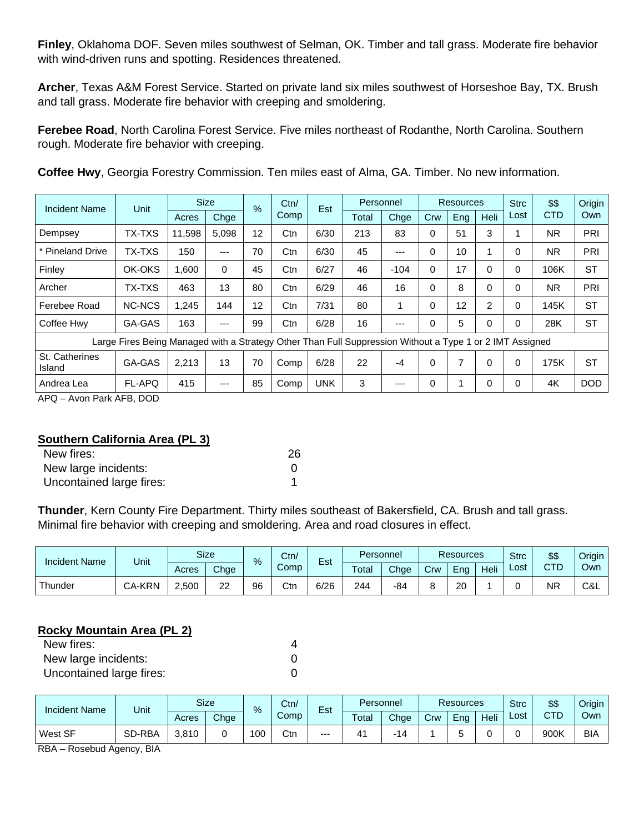**Finley**, Oklahoma DOF. Seven miles southwest of Selman, OK. Timber and tall grass. Moderate fire behavior with wind-driven runs and spotting. Residences threatened.

**Archer**, Texas A&M Forest Service. Started on private land six miles southwest of Horseshoe Bay, TX. Brush and tall grass. Moderate fire behavior with creeping and smoldering.

**Ferebee Road**, North Carolina Forest Service. Five miles northeast of Rodanthe, North Carolina. Southern rough. Moderate fire behavior with creeping.

| Coffee Hwy, Georgia Forestry Commission. Ten miles east of Alma, GA. Timber. No new information. |  |
|--------------------------------------------------------------------------------------------------|--|
|--------------------------------------------------------------------------------------------------|--|

| <b>Incident Name</b>     | Unit                                                                                                     |        | <b>Size</b> | $\%$ |      | Est        | Personnel |        | <b>Resources</b> |     |      | <b>Strc</b> | \$\$       | Origin     |
|--------------------------|----------------------------------------------------------------------------------------------------------|--------|-------------|------|------|------------|-----------|--------|------------------|-----|------|-------------|------------|------------|
|                          |                                                                                                          | Acres  | Chge        |      | Comp |            | Total     | Chge   | Crw              | Eng | Heli | Lost        | <b>CTD</b> | Own        |
| Dempsey                  | <b>TX-TXS</b>                                                                                            | 11.598 | 5.098       | 12   | Ctn  | 6/30       | 213       | 83     | 0                | 51  | 3    |             | NR.        | PRI        |
| <b>Pineland Drive</b>    | <b>TX-TXS</b>                                                                                            | 150    | $---$       | 70   | Ctn  | 6/30       | 45        | $---$  | 0                | 10  |      | $\Omega$    | NR.        | PRI        |
| Finley                   | OK-OKS                                                                                                   | 0.600  | $\Omega$    | 45   | Ctn  | 6/27       | 46        | $-104$ | 0                | 17  | 0    | $\Omega$    | 106K       | <b>ST</b>  |
| Archer                   | <b>TX-TXS</b>                                                                                            | 463    | 13          | 80   | Ctn  | 6/29       | 46        | 16     | 0                | 8   | 0    | $\Omega$    | NR.        | PRI        |
| Ferebee Road             | <b>NC-NCS</b>                                                                                            | 1.245  | 144         | 12   | Ctn  | 7/31       | 80        |        | 0                | 12  | 2    | 0           | 145K       | <b>ST</b>  |
| Coffee Hwy               | GA-GAS                                                                                                   | 163    | ---         | 99   | Ctn  | 6/28       | 16        | $---$  | 0                | 5   | 0    | 0           | 28K        | <b>ST</b>  |
|                          | Large Fires Being Managed with a Strategy Other Than Full Suppression Without a Type 1 or 2 IMT Assigned |        |             |      |      |            |           |        |                  |     |      |             |            |            |
| St. Catherines<br>Island | GA-GAS                                                                                                   | 2,213  | 13          | 70   | Comp | 6/28       | 22        | $-4$   | 0                |     | 0    | $\Omega$    | 175K       | <b>ST</b>  |
| Andrea Lea               | <b>FL-APQ</b>                                                                                            | 415    | ---         | 85   | Comp | <b>UNK</b> | 3         | $---$  | 0                |     | 0    | $\Omega$    | 4K         | <b>DOD</b> |

APQ – Avon Park AFB, DOD

## **Southern California Area (PL 3)**

| New fires:               | 26 |
|--------------------------|----|
| New large incidents:     |    |
| Uncontained large fires: |    |

**Thunder**, Kern County Fire Department. Thirty miles southeast of Bakersfield, CA. Brush and tall grass. Minimal fire behavior with creeping and smoldering. Area and road closures in effect.

| <b>Incident Name</b> | Unit          |       | <b>Size</b> | %  | Ctn/ | $\overline{\phantom{0}}$<br>Est | Personnel   |      |     | <b>Resources</b> |      | <b>Strc</b> | \$\$ | Origin |
|----------------------|---------------|-------|-------------|----|------|---------------------------------|-------------|------|-----|------------------|------|-------------|------|--------|
|                      |               | Acres | Chge        |    | Comp |                                 | $\tau$ otal | Chge | Crw | End              | Heli | ∟ost        | CTD  | Own    |
| Thunder              | <b>CA-KRN</b> | 2,500 | າາ<br>∠∠    | 96 | Ctn  | 6/26                            | 244         | -84  |     | 20               |      |             | ΝR   | C&L    |

### **Rocky Mountain Area (PL 2)**

| New fires:               |  |
|--------------------------|--|
| New large incidents:     |  |
| Uncontained large fires: |  |

| <b>Incident Name</b> | Unit   |       | <b>Size</b> | Ctn/<br>$\%$ |      | $\overline{\phantom{0}}$<br>Est |       | Personnel                |     | <b>Resources</b> |      |      | \$\$ | Origin     |
|----------------------|--------|-------|-------------|--------------|------|---------------------------------|-------|--------------------------|-----|------------------|------|------|------|------------|
|                      |        | Acres | Chge        |              | Comp |                                 | Total | Chge                     | Crw | Ena              | Heli | ∟ost | CTD  | Own        |
| West SF              | SD-RBA | 3.810 |             | 00           | Ctn  | $---$                           | 41    | $\overline{\phantom{a}}$ |     |                  |      |      | 900K | <b>BIA</b> |

RBA – Rosebud Agency, BIA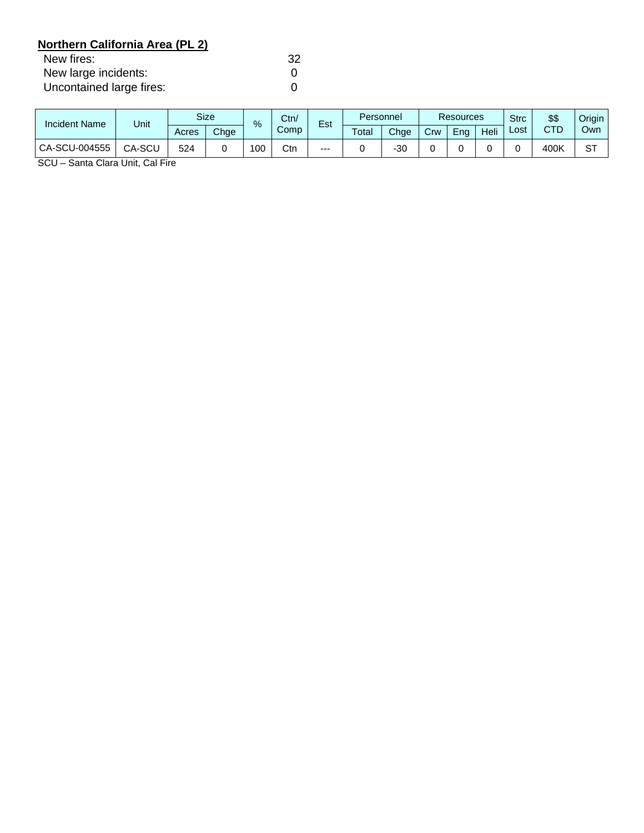# **Northern California Area (PL 2)**

| New fires:               | 32 |
|--------------------------|----|
| New large incidents:     |    |
| Uncontained large fires: |    |

| <b>Incident Name</b> | Unit   | <b>Size</b><br>$\%$ |      | Ctn/<br>-<br>Est |      | Personnel |       | <b>Resources</b> |     |     | <b>Strc</b> | \$\$ | Origin |           |
|----------------------|--------|---------------------|------|------------------|------|-----------|-------|------------------|-----|-----|-------------|------|--------|-----------|
|                      |        | Acres               | Chge |                  | Comp |           | Total | Chge             | Crw | Ena | Heli        | ∟ost | CTD    | Own       |
| CA-SCU-004555        | CA-SCL | 524                 |      | 00               | Ctn  | $--$      |       | -30              |     |     |             |      | 400K   | <b>ST</b> |

SCU – Santa Clara Unit, Cal Fire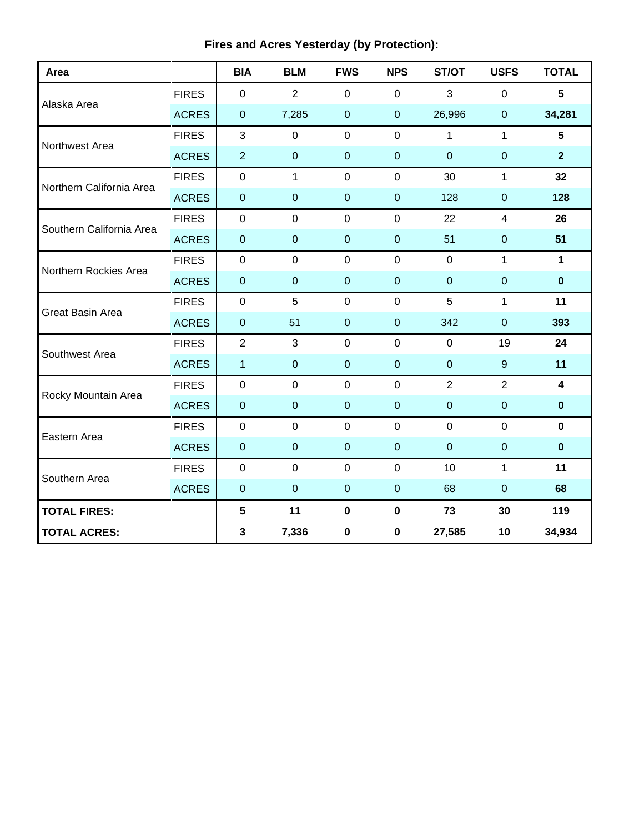| Area                     |              | <b>BIA</b>       | <b>BLM</b>     | <b>FWS</b>       | <b>NPS</b>       | ST/OT          | <b>USFS</b>    | <b>TOTAL</b>            |
|--------------------------|--------------|------------------|----------------|------------------|------------------|----------------|----------------|-------------------------|
|                          | <b>FIRES</b> | 0                | 2              | $\mathbf 0$      | $\mathbf 0$      | 3              | $\overline{0}$ | 5                       |
| Alaska Area              | <b>ACRES</b> | $\boldsymbol{0}$ | 7,285          | $\boldsymbol{0}$ | $\mathbf 0$      | 26,996         | $\mathbf 0$    | 34,281                  |
| Northwest Area           | <b>FIRES</b> | 3                | $\mathbf 0$    | $\mathbf 0$      | $\mathbf 0$      | $\mathbf{1}$   | $\mathbf{1}$   | 5                       |
|                          | <b>ACRES</b> | $\overline{2}$   | $\pmb{0}$      | $\pmb{0}$        | $\boldsymbol{0}$ | $\overline{0}$ | $\pmb{0}$      | $\overline{2}$          |
| Northern California Area | <b>FIRES</b> | $\mathsf 0$      | $\mathbf{1}$   | $\mathbf 0$      | $\pmb{0}$        | 30             | $\mathbf{1}$   | 32                      |
|                          | <b>ACRES</b> | $\boldsymbol{0}$ | $\pmb{0}$      | $\pmb{0}$        | $\pmb{0}$        | 128            | $\mathbf 0$    | 128                     |
| Southern California Area | <b>FIRES</b> | $\boldsymbol{0}$ | $\pmb{0}$      | $\pmb{0}$        | $\pmb{0}$        | 22             | $\overline{4}$ | 26                      |
|                          | <b>ACRES</b> | $\boldsymbol{0}$ | $\pmb{0}$      | $\pmb{0}$        | $\boldsymbol{0}$ | 51             | $\mathbf 0$    | 51                      |
| Northern Rockies Area    | <b>FIRES</b> | $\mathbf 0$      | $\overline{0}$ | $\mathbf 0$      | $\mathbf 0$      | $\overline{0}$ | $\mathbf{1}$   | $\mathbf{1}$            |
|                          | <b>ACRES</b> | $\boldsymbol{0}$ | $\pmb{0}$      | $\pmb{0}$        | $\boldsymbol{0}$ | $\pmb{0}$      | $\mathbf 0$    | $\bf{0}$                |
| <b>Great Basin Area</b>  | <b>FIRES</b> | $\mathbf 0$      | 5              | $\mathbf 0$      | $\mathbf 0$      | 5              | $\mathbf{1}$   | 11                      |
|                          | <b>ACRES</b> | $\boldsymbol{0}$ | 51             | $\pmb{0}$        | $\pmb{0}$        | 342            | $\mathbf 0$    | 393                     |
| Southwest Area           | <b>FIRES</b> | $\overline{2}$   | 3              | $\mathbf 0$      | $\mathbf 0$      | $\mathbf 0$    | 19             | 24                      |
|                          | <b>ACRES</b> | $\mathbf{1}$     | $\overline{0}$ | $\overline{0}$   | $\overline{0}$   | $\overline{0}$ | 9              | 11                      |
| Rocky Mountain Area      | <b>FIRES</b> | $\mathbf 0$      | $\mathbf 0$    | $\overline{0}$   | $\mathbf 0$      | $\overline{2}$ | $\overline{2}$ | $\overline{\mathbf{4}}$ |
|                          | <b>ACRES</b> | $\pmb{0}$        | $\pmb{0}$      | $\pmb{0}$        | $\pmb{0}$        | $\mathbf 0$    | $\mathbf 0$    | $\mathbf 0$             |
| Eastern Area             | <b>FIRES</b> | $\pmb{0}$        | $\pmb{0}$      | $\mathsf 0$      | $\mathbf 0$      | $\mathbf 0$    | $\mathbf 0$    | $\mathbf 0$             |
|                          | <b>ACRES</b> | $\pmb{0}$        | $\pmb{0}$      | $\pmb{0}$        | $\pmb{0}$        | $\pmb{0}$      | $\pmb{0}$      | $\pmb{0}$               |
| Southern Area            | <b>FIRES</b> | $\boldsymbol{0}$ | $\mathbf 0$    | $\mathbf 0$      | $\mathbf 0$      | 10             | $\mathbf{1}$   | 11                      |
|                          | <b>ACRES</b> | $\mathbf 0$      | $\pmb{0}$      | $\boldsymbol{0}$ | $\boldsymbol{0}$ | 68             | $\overline{0}$ | 68                      |
| <b>TOTAL FIRES:</b>      |              | $5\phantom{.0}$  | 11             | $\mathbf 0$      | $\mathbf 0$      | 73             | 30             | 119                     |
| <b>TOTAL ACRES:</b>      |              | 3                | 7,336          | $\pmb{0}$        | $\pmb{0}$        | 27,585         | 10             | 34,934                  |

# **Fires and Acres Yesterday (by Protection):**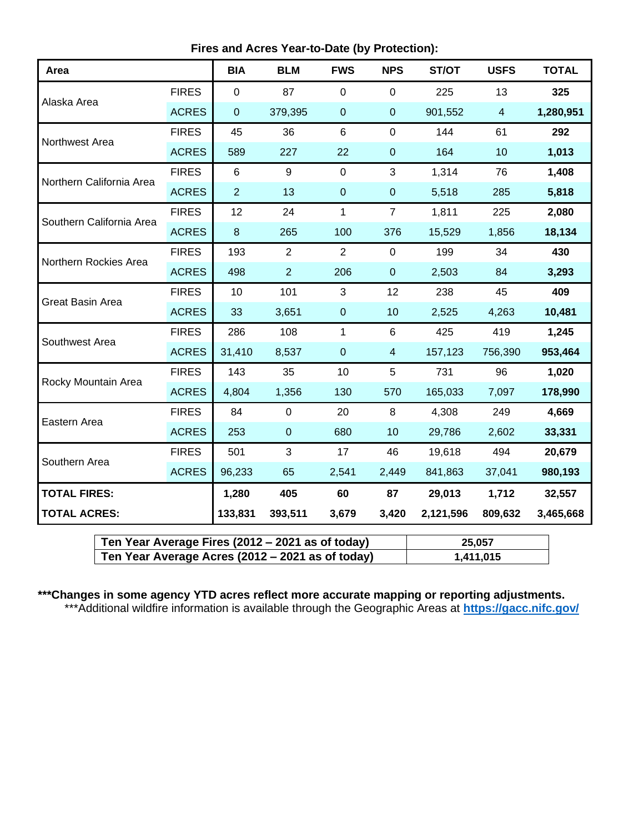**Fires and Acres Year-to-Date (by Protection):**

| Area                     |              | <b>BIA</b>     | <b>BLM</b>     | <b>FWS</b>     | <b>NPS</b>     | ST/OT     | <b>USFS</b>    | <b>TOTAL</b> |
|--------------------------|--------------|----------------|----------------|----------------|----------------|-----------|----------------|--------------|
|                          | <b>FIRES</b> | $\mathbf 0$    | 87             | $\mathbf 0$    | $\mathbf 0$    | 225       | 13             | 325          |
| Alaska Area              | <b>ACRES</b> | $\pmb{0}$      | 379,395        | $\mathbf 0$    | $\pmb{0}$      | 901,552   | $\overline{4}$ | 1,280,951    |
| Northwest Area           | <b>FIRES</b> | 45             | 36             | 6              | $\mathbf 0$    | 144       | 61             | 292          |
|                          | <b>ACRES</b> | 589            | 227            | 22             | $\pmb{0}$      | 164       | 10             | 1,013        |
| Northern California Area | <b>FIRES</b> | $\,6$          | 9              | $\mathbf 0$    | 3              | 1,314     | 76             | 1,408        |
|                          | <b>ACRES</b> | $\overline{2}$ | 13             | $\mathbf 0$    | $\pmb{0}$      | 5,518     | 285            | 5,818        |
| Southern California Area | <b>FIRES</b> | 12             | 24             | 1              | $\overline{7}$ | 1,811     | 225            | 2,080        |
|                          | <b>ACRES</b> | $\bf 8$        | 265            | 100            | 376            | 15,529    | 1,856          | 18,134       |
| Northern Rockies Area    | <b>FIRES</b> | 193            | $\overline{2}$ | $\overline{2}$ | $\pmb{0}$      | 199       | 34             | 430          |
|                          | <b>ACRES</b> | 498            | $\overline{2}$ | 206            | $\pmb{0}$      | 2,503     | 84             | 3,293        |
| Great Basin Area         | <b>FIRES</b> | 10             | 101            | 3              | 12             | 238       | 45             | 409          |
|                          | <b>ACRES</b> | 33             | 3,651          | $\mathbf 0$    | 10             | 2,525     | 4,263          | 10,481       |
| Southwest Area           | <b>FIRES</b> | 286            | 108            | 1              | 6              | 425       | 419            | 1,245        |
|                          | <b>ACRES</b> | 31,410         | 8,537          | $\mathbf 0$    | $\overline{4}$ | 157,123   | 756,390        | 953,464      |
| Rocky Mountain Area      | <b>FIRES</b> | 143            | 35             | 10             | 5              | 731       | 96             | 1,020        |
|                          | <b>ACRES</b> | 4,804          | 1,356          | 130            | 570            | 165,033   | 7,097          | 178,990      |
| Eastern Area             | <b>FIRES</b> | 84             | $\mathsf 0$    | 20             | $\,8\,$        | 4,308     | 249            | 4,669        |
|                          | <b>ACRES</b> | 253            | $\pmb{0}$      | 680            | 10             | 29,786    | 2,602          | 33,331       |
|                          | <b>FIRES</b> | 501            | 3              | 17             | 46             | 19,618    | 494            | 20,679       |
| Southern Area            | <b>ACRES</b> | 96,233         | 65             | 2,541          | 2,449          | 841,863   | 37,041         | 980,193      |
| <b>TOTAL FIRES:</b>      |              | 1,280          | 405            | 60             | 87             | 29,013    | 1,712          | 32,557       |
| <b>TOTAL ACRES:</b>      |              | 133,831        | 393,511        | 3,679          | 3,420          | 2,121,596 | 809,632        | 3,465,668    |

| Ten Year Average Fires (2012 – 2021 as of today) | 25.057    |
|--------------------------------------------------|-----------|
| Ten Year Average Acres (2012 – 2021 as of today) | 1,411,015 |

## **\*\*\*Changes in some agency YTD acres reflect more accurate mapping or reporting adjustments.**

\*\*\*Additional wildfire information is available through the Geographic Areas at **<https://gacc.nifc.gov/>**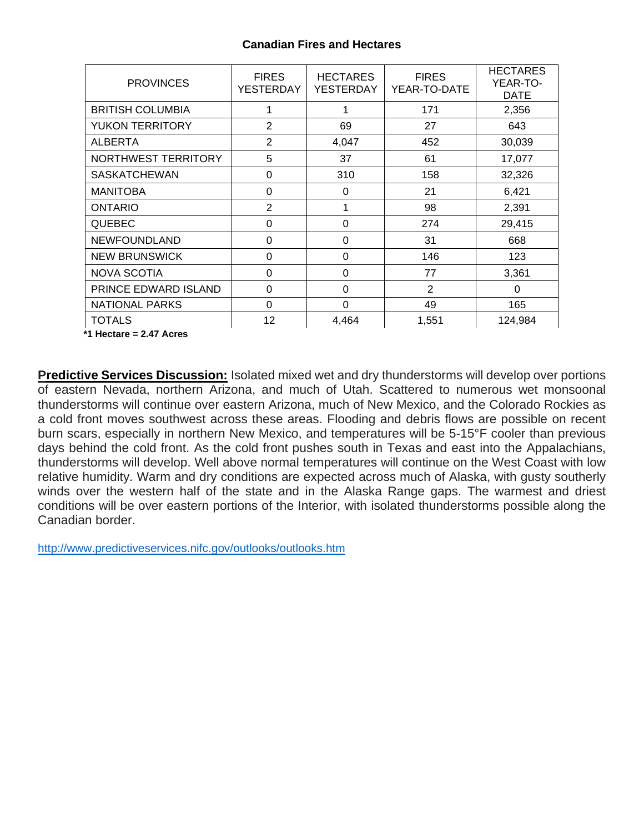## **Canadian Fires and Hectares**

| <b>PROVINCES</b>        | <b>FIRES</b><br><b>YESTERDAY</b> | <b>HECTARES</b><br><b>YESTERDAY</b> | <b>FIRES</b><br>YEAR-TO-DATE | <b>HECTARES</b><br>YEAR-TO-<br><b>DATE</b> |
|-------------------------|----------------------------------|-------------------------------------|------------------------------|--------------------------------------------|
| <b>BRITISH COLUMBIA</b> | 1                                |                                     | 171                          | 2,356                                      |
| YUKON TERRITORY         | $\overline{2}$                   | 69                                  | 27                           | 643                                        |
| <b>ALBERTA</b>          | $\overline{2}$                   | 4,047                               | 452                          | 30,039                                     |
| NORTHWEST TERRITORY     | 5                                | 37                                  | 61                           | 17,077                                     |
| <b>SASKATCHEWAN</b>     | $\Omega$                         | 310                                 | 158                          | 32,326                                     |
| <b>MANITOBA</b>         | $\Omega$                         | 0                                   | 21                           | 6,421                                      |
| <b>ONTARIO</b>          | $\overline{2}$                   | 1                                   | 98                           | 2,391                                      |
| <b>QUEBEC</b>           | 0                                | $\Omega$                            | 274                          | 29,415                                     |
| NEWFOUNDLAND            | $\Omega$                         | $\Omega$                            | 31                           | 668                                        |
| <b>NEW BRUNSWICK</b>    | $\Omega$                         | $\Omega$                            | 146                          | 123                                        |
| <b>NOVA SCOTIA</b>      | $\Omega$                         | 0                                   | 77                           | 3,361                                      |
| PRINCE EDWARD ISLAND    | $\Omega$                         | $\Omega$                            | $\overline{2}$               | $\Omega$                                   |
| <b>NATIONAL PARKS</b>   | $\Omega$                         | $\Omega$                            | 49                           | 165                                        |
| <b>TOTALS</b>           | 12                               | 4,464                               | 1,551                        | 124,984                                    |
| *1 Hectare = 2.47 Acres |                                  |                                     |                              |                                            |

**Predictive Services Discussion:** Isolated mixed wet and dry thunderstorms will develop over portions of eastern Nevada, northern Arizona, and much of Utah. Scattered to numerous wet monsoonal thunderstorms will continue over eastern Arizona, much of New Mexico, and the Colorado Rockies as a cold front moves southwest across these areas. Flooding and debris flows are possible on recent burn scars, especially in northern New Mexico, and temperatures will be 5-15°F cooler than previous days behind the cold front. As the cold front pushes south in Texas and east into the Appalachians, thunderstorms will develop. Well above normal temperatures will continue on the West Coast with low relative humidity. Warm and dry conditions are expected across much of Alaska, with gusty southerly winds over the western half of the state and in the Alaska Range gaps. The warmest and driest conditions will be over eastern portions of the Interior, with isolated thunderstorms possible along the Canadian border.

<http://www.predictiveservices.nifc.gov/outlooks/outlooks.htm>